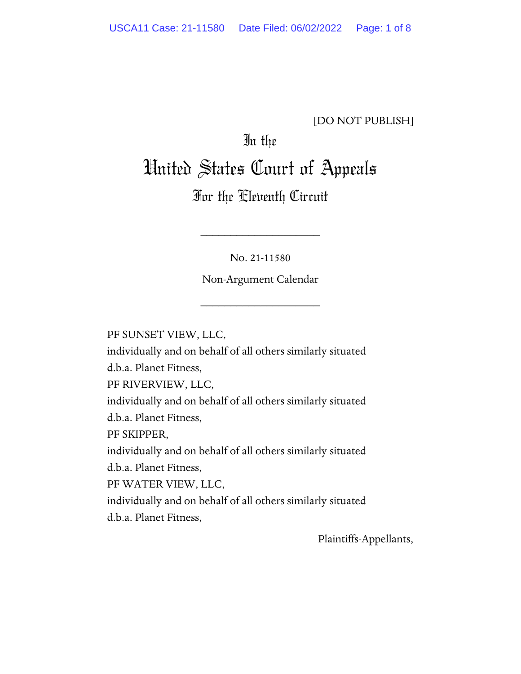## [DO NOT PUBLISH]

# In the

# United States Court of Appeals

# For the Eleventh Circuit

No. 21-11580

\_\_\_\_\_\_\_\_\_\_\_\_\_\_\_\_\_\_\_\_

Non-Argument Calendar

\_\_\_\_\_\_\_\_\_\_\_\_\_\_\_\_\_\_\_\_

PF SUNSET VIEW, LLC,

individually and on behalf of all others similarly situated d.b.a. Planet Fitness,

PF RIVERVIEW, LLC,

individually and on behalf of all others similarly situated d.b.a. Planet Fitness,

PF SKIPPER,

individually and on behalf of all others similarly situated

d.b.a. Planet Fitness,

PF WATER VIEW, LLC,

individually and on behalf of all others similarly situated d.b.a. Planet Fitness,

Plaintiffs-Appellants,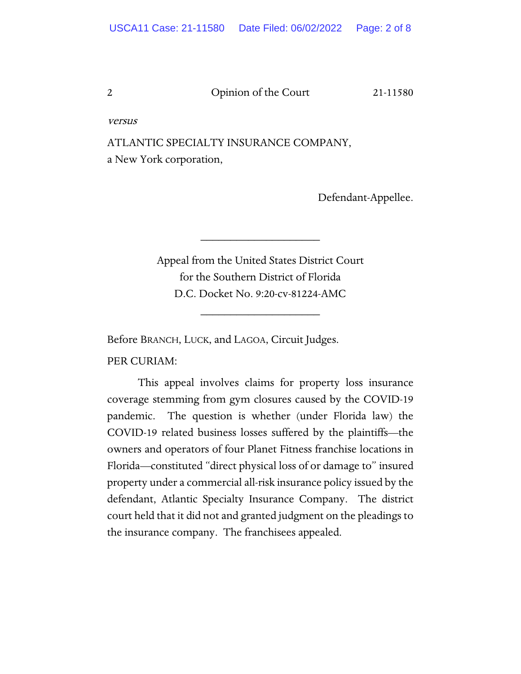versus

ATLANTIC SPECIALTY INSURANCE COMPANY, a New York corporation,

Defendant-Appellee.

Appeal from the United States District Court for the Southern District of Florida D.C. Docket No. 9:20-cv-81224-AMC

\_\_\_\_\_\_\_\_\_\_\_\_\_\_\_\_\_\_\_\_

\_\_\_\_\_\_\_\_\_\_\_\_\_\_\_\_\_\_\_\_

Before BRANCH, LUCK, and LAGOA, Circuit Judges.

PER CURIAM:

This appeal involves claims for property loss insurance coverage stemming from gym closures caused by the COVID-19 pandemic. The question is whether (under Florida law) the COVID-19 related business losses suffered by the plaintiffs—the owners and operators of four Planet Fitness franchise locations in Florida—constituted "direct physical loss of or damage to" insured property under a commercial all-risk insurance policy issued by the defendant, Atlantic Specialty Insurance Company. The district court held that it did not and granted judgment on the pleadings to the insurance company. The franchisees appealed.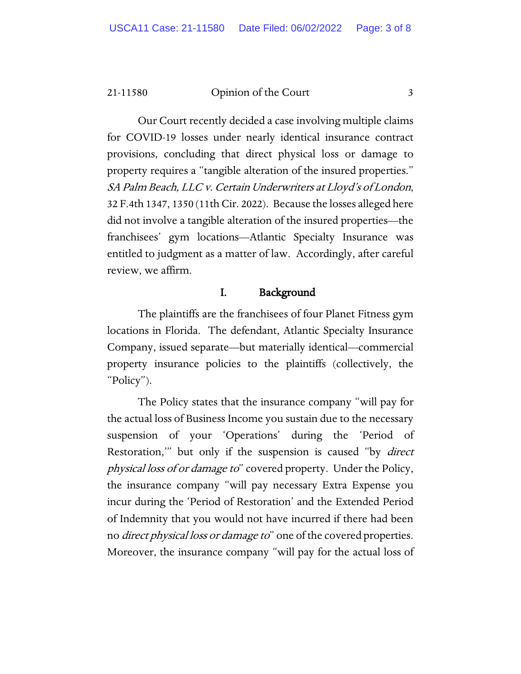21-11580 Opinion of the Court 3

Our Court recently decided a case involving multiple claims for COVID-19 losses under nearly identical insurance contract provisions, concluding that direct physical loss or damage to property requires a "tangible alteration of the insured properties." SA Palm Beach, LLC v. Certain Underwriters at Lloyd's of London, 32 F.4th 1347, 1350 (11th Cir. 2022). Because the losses alleged here did not involve a tangible alteration of the insured properties—the franchisees' gym locations—Atlantic Specialty Insurance was entitled to judgment as a matter of law. Accordingly, after careful review, we affirm.

## I. Background

The plaintiffs are the franchisees of four Planet Fitness gym locations in Florida. The defendant, Atlantic Specialty Insurance Company, issued separate—but materially identical—commercial property insurance policies to the plaintiffs (collectively, the "Policy").

The Policy states that the insurance company "will pay for the actual loss of Business Income you sustain due to the necessary suspension of your 'Operations' during the 'Period of Restoration," but only if the suspension is caused "by *direct* physical loss of or damage to" covered property. Under the Policy, the insurance company "will pay necessary Extra Expense you incur during the 'Period of Restoration' and the Extended Period of Indemnity that you would not have incurred if there had been no *direct physical loss or damage to*" one of the covered properties. Moreover, the insurance company "will pay for the actual loss of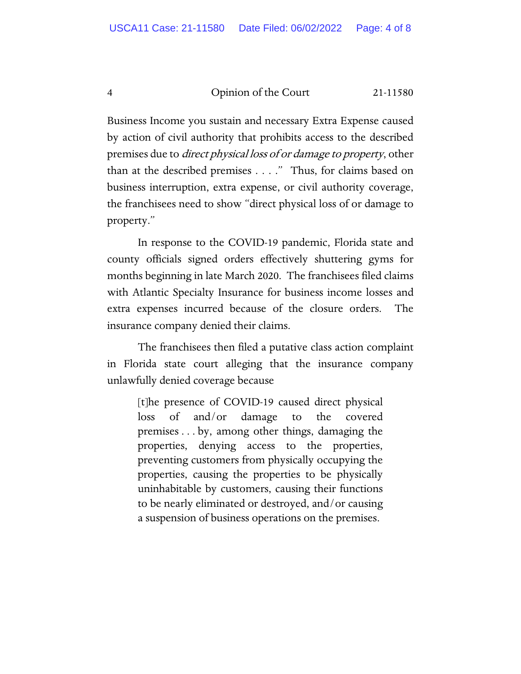Business Income you sustain and necessary Extra Expense caused by action of civil authority that prohibits access to the described premises due to direct physical loss of or damage to property, other than at the described premises . . . ." Thus, for claims based on business interruption, extra expense, or civil authority coverage, the franchisees need to show "direct physical loss of or damage to property."

In response to the COVID-19 pandemic, Florida state and county officials signed orders effectively shuttering gyms for months beginning in late March 2020. The franchisees filed claims with Atlantic Specialty Insurance for business income losses and extra expenses incurred because of the closure orders. The insurance company denied their claims.

The franchisees then filed a putative class action complaint in Florida state court alleging that the insurance company unlawfully denied coverage because

[t]he presence of COVID-19 caused direct physical loss of and/or damage to the covered premises . . . by, among other things, damaging the properties, denying access to the properties, preventing customers from physically occupying the properties, causing the properties to be physically uninhabitable by customers, causing their functions to be nearly eliminated or destroyed, and/or causing a suspension of business operations on the premises.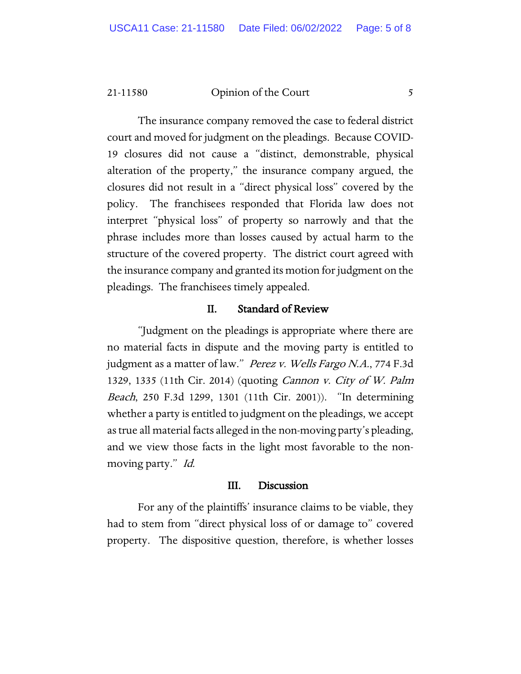21-11580 Opinion of the Court 5

The insurance company removed the case to federal district court and moved for judgment on the pleadings. Because COVID-19 closures did not cause a "distinct, demonstrable, physical alteration of the property," the insurance company argued, the closures did not result in a "direct physical loss" covered by the policy. The franchisees responded that Florida law does not interpret "physical loss" of property so narrowly and that the phrase includes more than losses caused by actual harm to the structure of the covered property. The district court agreed with the insurance company and granted its motion for judgment on the pleadings. The franchisees timely appealed.

## II. Standard of Review

"Judgment on the pleadings is appropriate where there are no material facts in dispute and the moving party is entitled to judgment as a matter of law." Perez v. Wells Fargo N.A., 774 F.3d 1329, 1335 (11th Cir. 2014) (quoting Cannon v. City of W. Palm Beach, 250 F.3d 1299, 1301 (11th Cir. 2001)). "In determining whether a party is entitled to judgment on the pleadings, we accept as true all material facts alleged in the non-moving party's pleading, and we view those facts in the light most favorable to the nonmoving party." Id.

#### III. Discussion

For any of the plaintiffs' insurance claims to be viable, they had to stem from "direct physical loss of or damage to" covered property. The dispositive question, therefore, is whether losses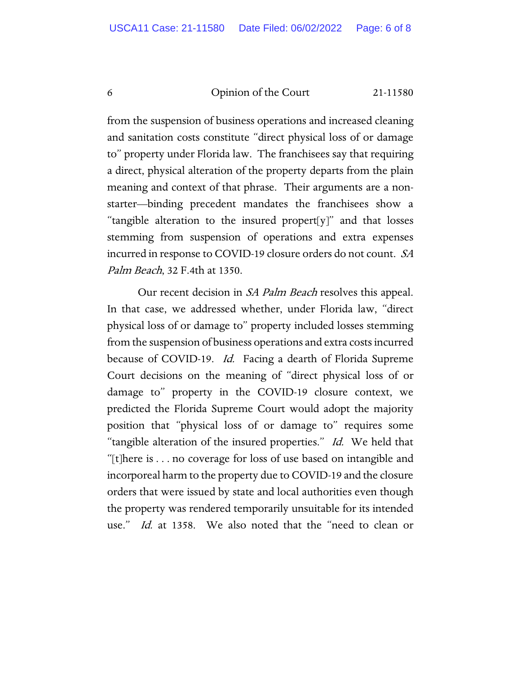from the suspension of business operations and increased cleaning and sanitation costs constitute "direct physical loss of or damage to" property under Florida law. The franchisees say that requiring a direct, physical alteration of the property departs from the plain meaning and context of that phrase. Their arguments are a nonstarter—binding precedent mandates the franchisees show a "tangible alteration to the insured propert[y]" and that losses stemming from suspension of operations and extra expenses incurred in response to COVID-19 closure orders do not count. SA Palm Beach, 32 F.4th at 1350.

Our recent decision in *SA Palm Beach* resolves this appeal. In that case, we addressed whether, under Florida law, "direct physical loss of or damage to" property included losses stemming from the suspension of business operations and extra costs incurred because of COVID-19. *Id.* Facing a dearth of Florida Supreme Court decisions on the meaning of "direct physical loss of or damage to" property in the COVID-19 closure context, we predicted the Florida Supreme Court would adopt the majority position that "physical loss of or damage to" requires some "tangible alteration of the insured properties." Id. We held that "[t]here is . . . no coverage for loss of use based on intangible and incorporeal harm to the property due to COVID-19 and the closure orders that were issued by state and local authorities even though the property was rendered temporarily unsuitable for its intended use." Id. at 1358. We also noted that the "need to clean or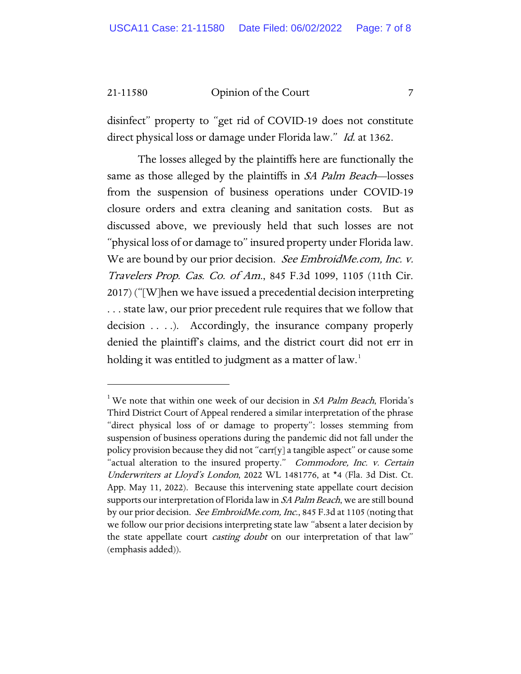21-11580 Opinion of the Court 7

disinfect" property to "get rid of COVID-19 does not constitute direct physical loss or damage under Florida law." Id. at 1362.

The losses alleged by the plaintiffs here are functionally the same as those alleged by the plaintiffs in *SA Palm Beach*—losses from the suspension of business operations under COVID-19 closure orders and extra cleaning and sanitation costs. But as discussed above, we previously held that such losses are not "physical loss of or damage to" insured property under Florida law. We are bound by our prior decision. See EmbroidMe.com, Inc. v. Travelers Prop. Cas. Co. of Am., 845 F.3d 1099, 1105 (11th Cir. 2017) ("[W]hen we have issued a precedential decision interpreting . . . state law, our prior precedent rule requires that we follow that decision . . . .). Accordingly, the insurance company properly denied the plaintiff's claims, and the district court did not err in holding it was entitled to judgment as a matter of law.<sup>[1](#page-6-0)</sup>

<span id="page-6-0"></span><sup>&</sup>lt;sup>1</sup> We note that within one week of our decision in *SA Palm Beach*, Florida's Third District Court of Appeal rendered a similar interpretation of the phrase "direct physical loss of or damage to property": losses stemming from suspension of business operations during the pandemic did not fall under the policy provision because they did not "carr[y] a tangible aspect" or cause some "actual alteration to the insured property." Commodore, Inc. v. Certain Underwriters at Lloyd's London, 2022 WL 1481776, at \*4 (Fla. 3d Dist. Ct. App. May 11, 2022). Because this intervening state appellate court decision supports our interpretation of Florida law in SA Palm Beach, we are still bound by our prior decision. *See EmbroidMe.com, Inc.*, 845 F.3d at 1105 (noting that we follow our prior decisions interpreting state law "absent a later decision by the state appellate court *casting doubt* on our interpretation of that law" (emphasis added)).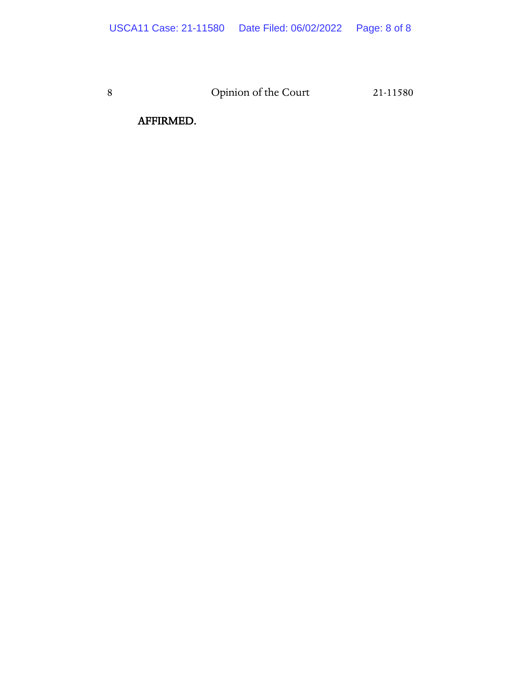AFFIRMED.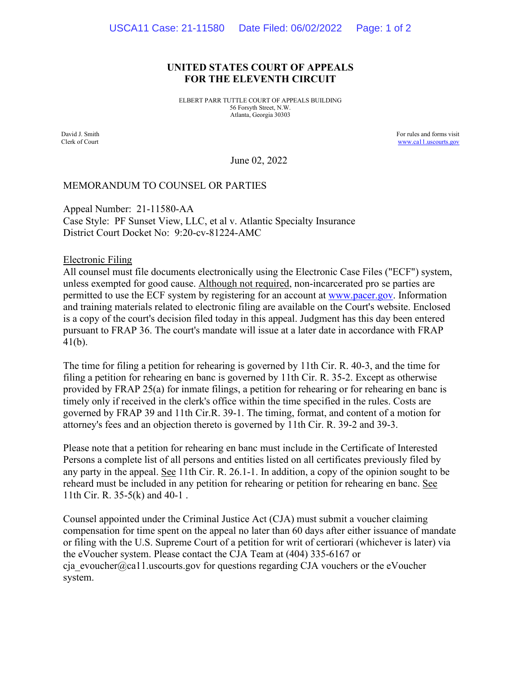#### **UNITED STATES COURT OF APPEALS FOR THE ELEVENTH CIRCUIT**

ELBERT PARR TUTTLE COURT OF APPEALS BUILDING 56 Forsyth Street, N.W. Atlanta, Georgia 30303

David J. Smith Clerk of Court For rules and forms visit [www.ca11.uscourts.gov](http://www.ca11.uscourts.gov/)

June 02, 2022

#### MEMORANDUM TO COUNSEL OR PARTIES

Appeal Number: 21-11580-AA Case Style: PF Sunset View, LLC, et al v. Atlantic Specialty Insurance District Court Docket No: 9:20-cv-81224-AMC

Electronic Filing

All counsel must file documents electronically using the Electronic Case Files ("ECF") system, unless exempted for good cause. Although not required, non-incarcerated pro se parties are permitted to use the ECF system by registering for an account at [www.pacer.gov.](https://pacer.uscourts.gov/) Information and training materials related to electronic filing are available on the Court's website. Enclosed is a copy of the court's decision filed today in this appeal. Judgment has this day been entered pursuant to FRAP 36. The court's mandate will issue at a later date in accordance with FRAP 41(b).

The time for filing a petition for rehearing is governed by 11th Cir. R. 40-3, and the time for filing a petition for rehearing en banc is governed by 11th Cir. R. 35-2. Except as otherwise provided by FRAP 25(a) for inmate filings, a petition for rehearing or for rehearing en banc is timely only if received in the clerk's office within the time specified in the rules. Costs are governed by FRAP 39 and 11th Cir.R. 39-1. The timing, format, and content of a motion for attorney's fees and an objection thereto is governed by 11th Cir. R. 39-2 and 39-3.

Please note that a petition for rehearing en banc must include in the Certificate of Interested Persons a complete list of all persons and entities listed on all certificates previously filed by any party in the appeal. See 11th Cir. R. 26.1-1. In addition, a copy of the opinion sought to be reheard must be included in any petition for rehearing or petition for rehearing en banc. See 11th Cir. R. 35-5(k) and 40-1 .

Counsel appointed under the Criminal Justice Act (CJA) must submit a voucher claiming compensation for time spent on the appeal no later than 60 days after either issuance of mandate or filing with the U.S. Supreme Court of a petition for writ of certiorari (whichever is later) via the eVoucher system. Please contact the CJA Team at (404) 335-6167 or cja\_evoucher@ca11.uscourts.gov for questions regarding CJA vouchers or the eVoucher system.